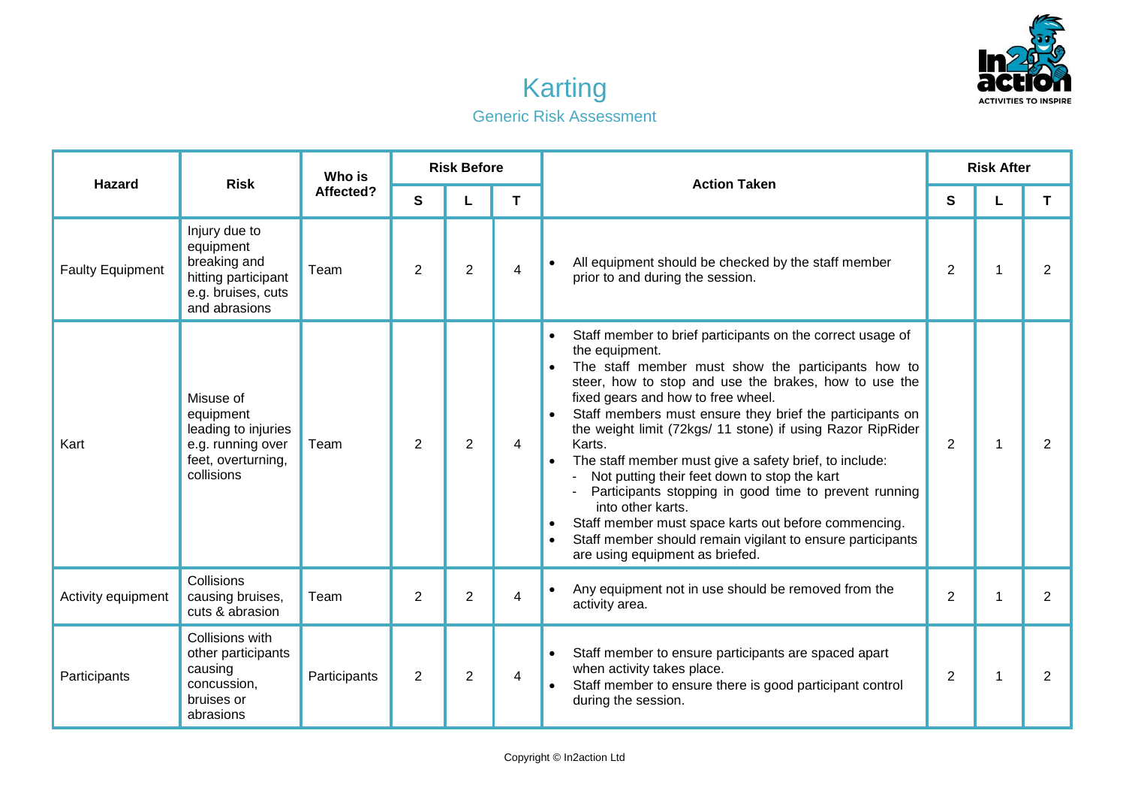

## Karting Generic Risk Assessment

| <b>Hazard</b>           | <b>Risk</b>                                                                                              | Who is<br>Affected? | <b>Risk Before</b> |                |   | <b>Action Taken</b>                                                                                                                                                                                                                                                                                                                                                                                                                                                                                                                                                                                                                                                                                                                 | <b>Risk After</b> |                         |                |
|-------------------------|----------------------------------------------------------------------------------------------------------|---------------------|--------------------|----------------|---|-------------------------------------------------------------------------------------------------------------------------------------------------------------------------------------------------------------------------------------------------------------------------------------------------------------------------------------------------------------------------------------------------------------------------------------------------------------------------------------------------------------------------------------------------------------------------------------------------------------------------------------------------------------------------------------------------------------------------------------|-------------------|-------------------------|----------------|
|                         |                                                                                                          |                     | $\mathbf{s}$       | L              | T |                                                                                                                                                                                                                                                                                                                                                                                                                                                                                                                                                                                                                                                                                                                                     | $\mathbf{s}$      |                         | T.             |
| <b>Faulty Equipment</b> | Injury due to<br>equipment<br>breaking and<br>hitting participant<br>e.g. bruises, cuts<br>and abrasions | Team                | 2                  | $\overline{2}$ | 4 | All equipment should be checked by the staff member<br>$\bullet$<br>prior to and during the session.                                                                                                                                                                                                                                                                                                                                                                                                                                                                                                                                                                                                                                | $\overline{2}$    | 1                       | 2              |
| Kart                    | Misuse of<br>equipment<br>leading to injuries<br>e.g. running over<br>feet, overturning,<br>collisions   | Team                | $\overline{2}$     | $\overline{2}$ | 4 | Staff member to brief participants on the correct usage of<br>$\bullet$<br>the equipment.<br>The staff member must show the participants how to<br>steer, how to stop and use the brakes, how to use the<br>fixed gears and how to free wheel.<br>Staff members must ensure they brief the participants on<br>the weight limit (72kgs/ 11 stone) if using Razor RipRider<br>Karts.<br>The staff member must give a safety brief, to include:<br>Not putting their feet down to stop the kart<br>Participants stopping in good time to prevent running<br>into other karts.<br>Staff member must space karts out before commencing.<br>Staff member should remain vigilant to ensure participants<br>are using equipment as briefed. | 2                 | $\mathbf{1}$            | 2              |
| Activity equipment      | Collisions<br>causing bruises,<br>cuts & abrasion                                                        | Team                | 2                  | $\overline{2}$ | 4 | Any equipment not in use should be removed from the<br>$\bullet$<br>activity area.                                                                                                                                                                                                                                                                                                                                                                                                                                                                                                                                                                                                                                                  | $\overline{2}$    | $\overline{\mathbf{1}}$ | $\overline{2}$ |
| Participants            | Collisions with<br>other participants<br>causing<br>concussion,<br>bruises or<br>abrasions               | Participants        | $\overline{2}$     | $\overline{2}$ | 4 | Staff member to ensure participants are spaced apart<br>$\bullet$<br>when activity takes place.<br>Staff member to ensure there is good participant control<br>during the session.                                                                                                                                                                                                                                                                                                                                                                                                                                                                                                                                                  | $\overline{2}$    | $\mathbf 1$             | 2              |